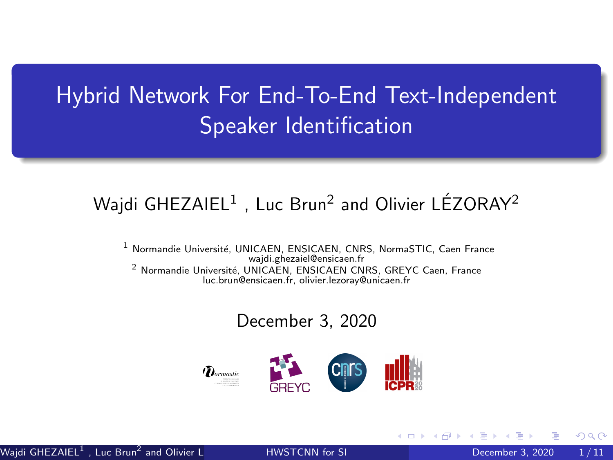# <span id="page-0-0"></span>Hybrid Network For End-To-End Text-Independent Speaker Identification

#### Wajdi GHEZAIEL $^1$  , Luc Brun $^2$  and Olivier LÉZORAY $^2$

<sup>1</sup> Normandie Université, UNICAEN, ENSICAEN, CNRS, NormaSTIC, Caen France wajdi.ghezaiel@ensicaen.fr <sup>2</sup> Normandie Université, UNICAEN, ENSICAEN CNRS, GREYC Caen, France luc.brun@ensicaen.fr, olivier.lezoray@unicaen.fr

#### December 3, 2020

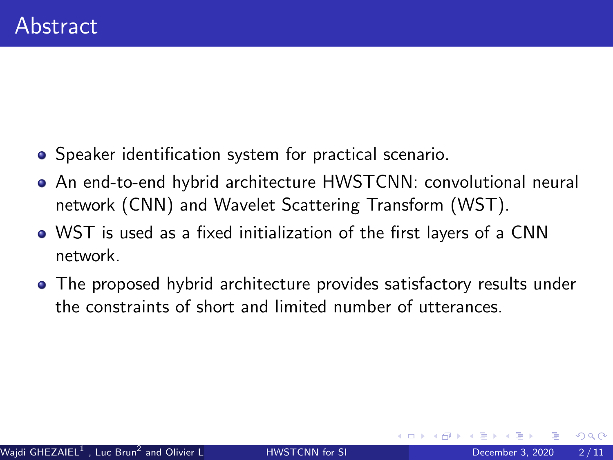- Speaker identification system for practical scenario.
- An end-to-end hybrid architecture HWSTCNN: convolutional neural network (CNN) and Wavelet Scattering Transform (WST).
- WST is used as a fixed initialization of the first layers of a CNN network.
- The proposed hybrid architecture provides satisfactory results under the constraints of short and limited number of utterances.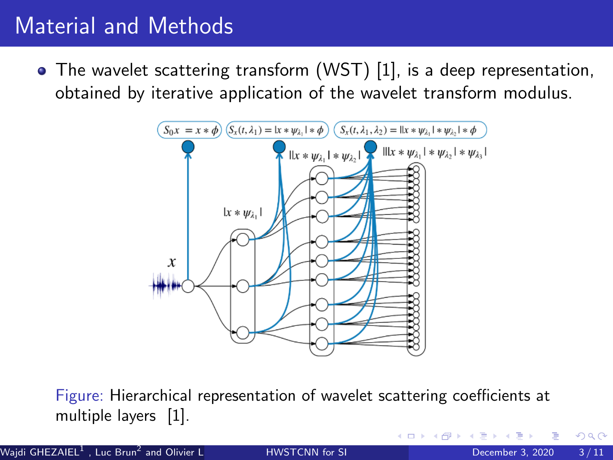# Material and Methods

The wavelet scattering transform (WST) [\[1\]](#page-9-0), is a deep representation, obtained by iterative application of the wavelet transform modulus.



Figure: Hierarchical representation of wavelet scattering coefficients at multiple layers [\[1\]](#page-9-0).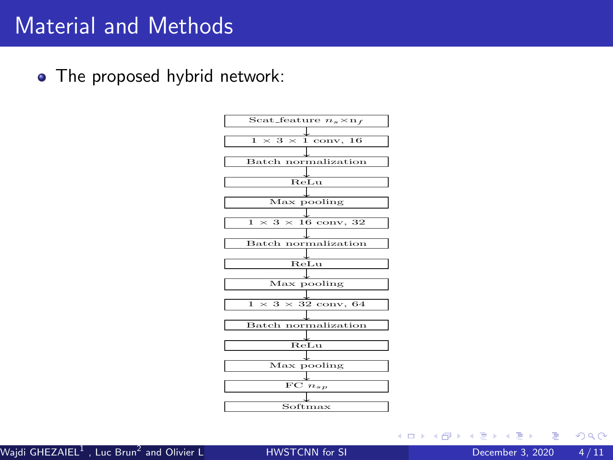## Material and Methods

• The proposed hybrid network:



э

 $\Omega$ 

イロト イ押ト イヨト イヨト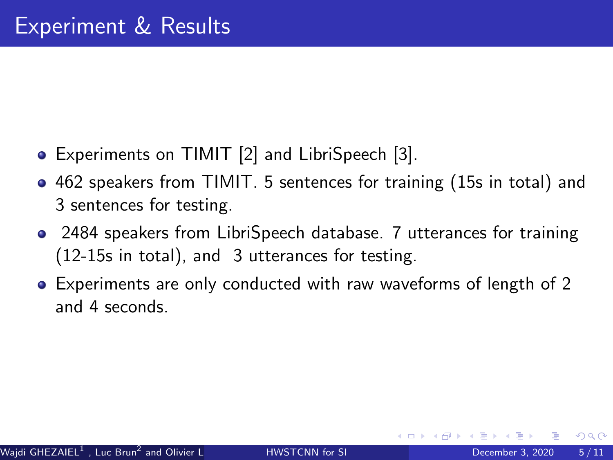- Experiments on TIMIT [\[2\]](#page-9-1) and LibriSpeech [\[3\]](#page-9-2).
- 462 speakers from TIMIT. 5 sentences for training (15s in total) and 3 sentences for testing.
- 2484 speakers from LibriSpeech database. 7 utterances for training (12-15s in total), and 3 utterances for testing.
- Experiments are only conducted with raw waveforms of length of 2 and 4 seconds.

 $200$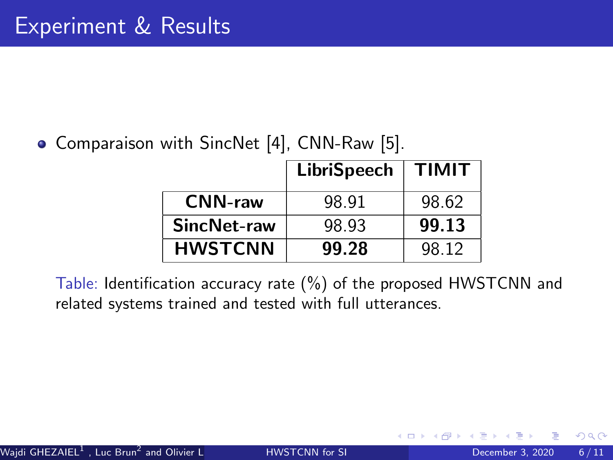• Comparaison with SincNet [\[4\]](#page-9-3), CNN-Raw [\[5\]](#page-9-4).

|                | <b>LibriSpeech</b> | <b>TIMIT</b> |
|----------------|--------------------|--------------|
| <b>CNN-raw</b> | 98.91              | 98.62        |
| SincNet-raw    | 98.93              | 99.13        |
| <b>HWSTCNN</b> | 99.28              | 98.12        |

Table: Identification accuracy rate (%) of the proposed HWSTCNN and related systems trained and tested with full utterances.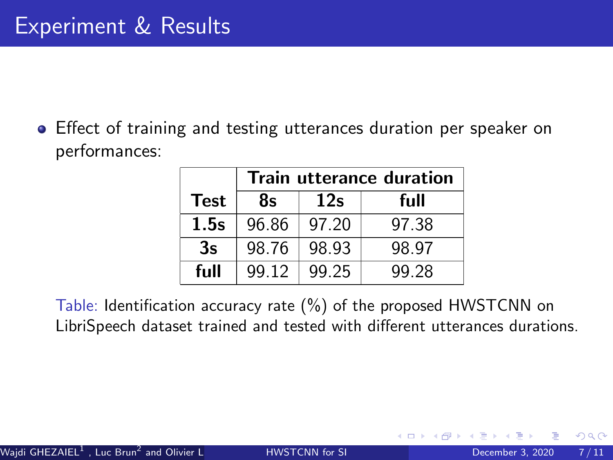Effect of training and testing utterances duration per speaker on performances:

|             | <b>Train utterance duration</b> |       |       |  |  |
|-------------|---------------------------------|-------|-------|--|--|
| <b>Test</b> | 8s                              | 12s   | full  |  |  |
| 1.5s        | 96.86                           | 97.20 | 97.38 |  |  |
| 3s          | 98.76                           | 98.93 | 98.97 |  |  |
| full        | 99.12                           | 99.25 | 99.28 |  |  |

Table: Identification accuracy rate (%) of the proposed HWSTCNN on LibriSpeech dataset trained and tested with different utterances durations.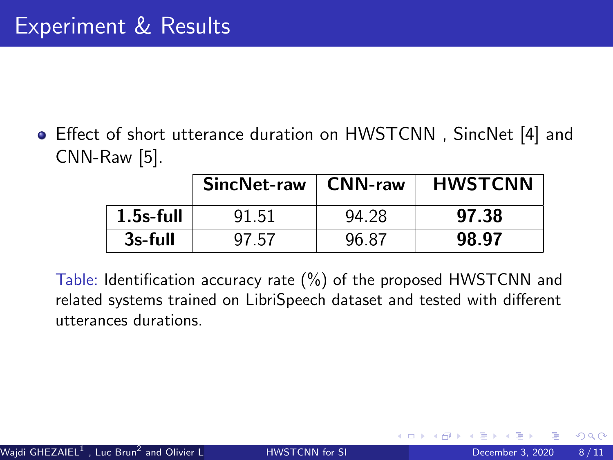Effect of short utterance duration on HWSTCNN , SincNet [\[4\]](#page-9-3) and CNN-Raw [\[5\]](#page-9-4).

|              | <b>SincNet-raw</b> | $\mid$ CNN-raw | <b>HWSTCNN</b> |
|--------------|--------------------|----------------|----------------|
| $1.5s$ -full | 91.51              | 94.28          | 97.38          |
| 3s-full      | 97.57              | 96.87          | 98.97          |

Table: Identification accuracy rate (%) of the proposed HWSTCNN and related systems trained on LibriSpeech dataset and tested with different utterances durations.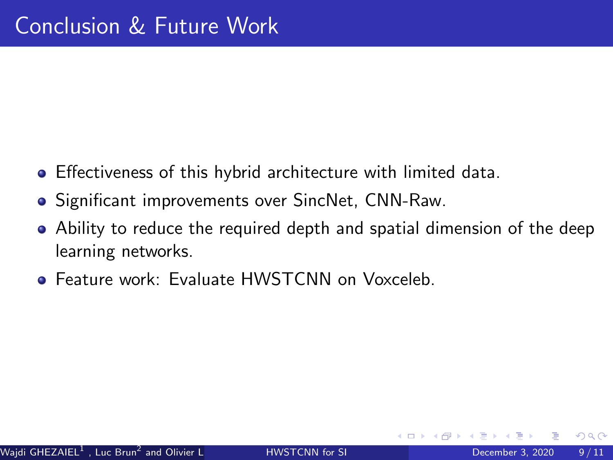- Effectiveness of this hybrid architecture with limited data.
- Significant improvements over SincNet, CNN-Raw.
- Ability to reduce the required depth and spatial dimension of the deep learning networks.
- Feature work: Evaluate HWSTCNN on Voxceleb.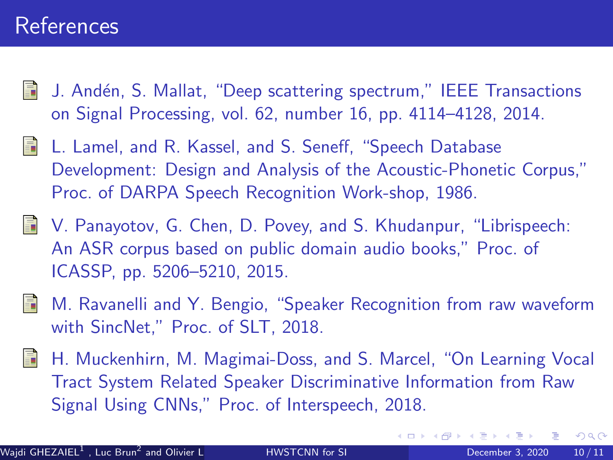## References

- <span id="page-9-0"></span>J. Andén, S. Mallat, "Deep scattering spectrum," IEEE Transactions on Signal Processing, vol. 62, number 16, pp. 4114–4128, 2014.
- <span id="page-9-1"></span>L. Lamel, and R. Kassel, and S. Seneff, "Speech Database Development: Design and Analysis of the Acoustic-Phonetic Corpus," Proc. of DARPA Speech Recognition Work-shop, 1986.
- <span id="page-9-2"></span>V. Panayotov, G. Chen, D. Povey, and S. Khudanpur, "Librispeech: An ASR corpus based on public domain audio books," Proc. of ICASSP, pp. 5206–5210, 2015.
- <span id="page-9-3"></span>M. Ravanelli and Y. Bengio, "Speaker Recognition from raw waveform with SincNet," Proc. of SLT, 2018.
- <span id="page-9-4"></span>譶 H. Muckenhirn, M. Magimai-Doss, and S. Marcel, "On Learning Vocal Tract System Related Speaker Discriminative Information from Raw Signal Using CNNs," Proc. of Interspeech, 2018.